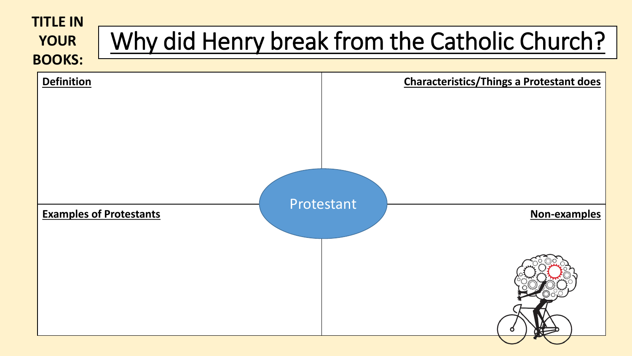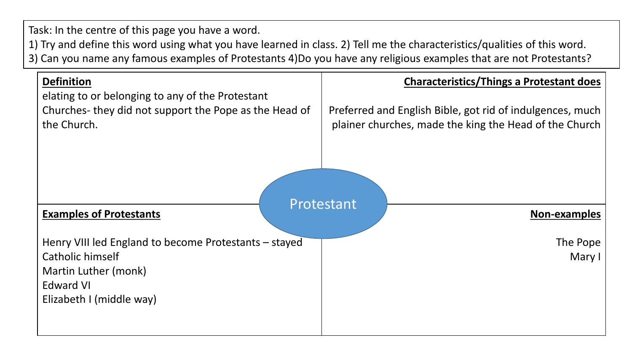Task: In the centre of this page you have a word.

1) Try and define this word using what you have learned in class. 2) Tell me the characteristics/qualities of this word.

3) Can you name any famous examples of Protestants 4)Do you have any religious examples that are not Protestants?

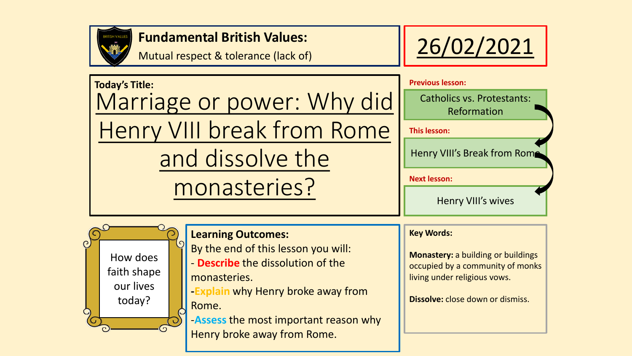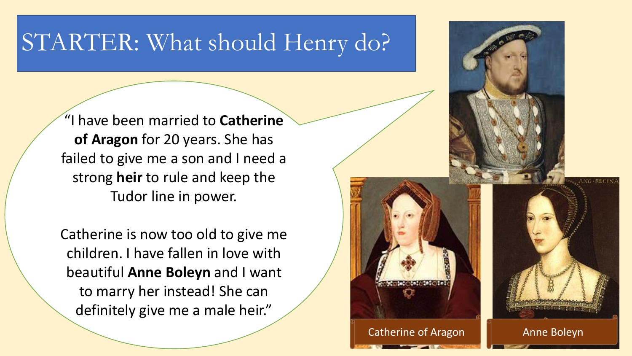## STARTER: What should Henry do?

"I have been married to **Catherine of Aragon** for 20 years. She has failed to give me a son and I need a strong **heir** to rule and keep the Tudor line in power.

Catherine is now too old to give me children. I have fallen in love with beautiful **Anne Boleyn** and I want to marry her instead! She can definitely give me a male heir."

Catherine of Aragon  $\|\cdot\|$  [Anne Boleyn](http://en.wikipedia.org/wiki/File:Anneboleyn2.jpg)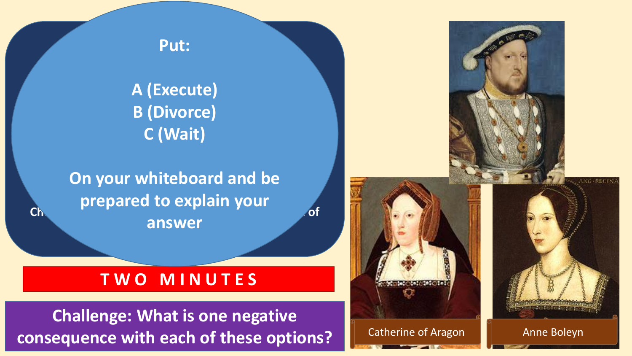

**Henry has three options: Put:**

A. Find an excuse to cut off Catherine's head. **A (Execute)**  B. Ask his friend in Rome, the Pope, to let him divorce **B (Divorce) C (Wait)**

**On your whiteboard and be Choose one of the short explanation of the short explanation of**  $\overline{\phantom{a}}$ **why that is answer** choice. **prepared to explain your** 

### **T W O M I N U T E S T W O M I N U T E S**

**Challenge: What is one negative consequence with each of these options?**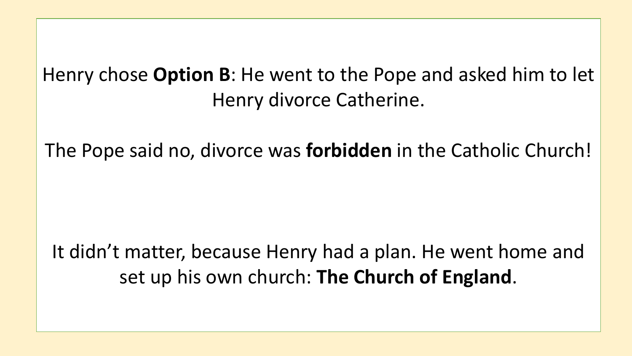### Henry chose **Option B**: He went to the Pope and asked him to let Henry divorce Catherine.

The Pope said no, divorce was **forbidden** in the Catholic Church!

It didn't matter, because Henry had a plan. He went home and set up his own church: **The Church of England**.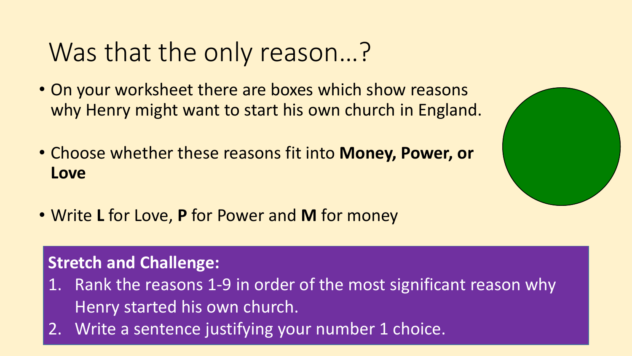# Was that the only reason…?

- On your worksheet there are boxes which show reasons why Henry might want to start his own church in England.
- Choose whether these reasons fit into **Money, Power, or Love**
- Write **L** for Love, **P** for Power and **M** for money

### **Stretch and Challenge:**

- 1. Rank the reasons 1-9 in order of the most significant reason why Henry started his own church.
- 2. Write a sentence justifying your number 1 choice.

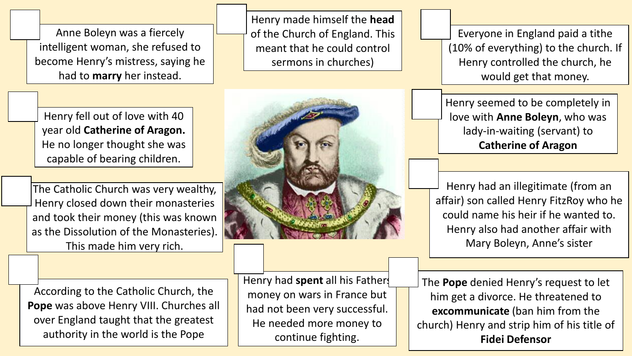Anne Boleyn was a fiercely intelligent woman, she refused to become Henry's mistress, saying he had to **marry** her instead.

Henry fell out of love with 40 year old **Catherine of Aragon.**  He no longer thought she was capable of bearing children.

The Catholic Church was very wealthy, Henry closed down their monasteries and took their money (this was known as the Dissolution of the Monasteries). This made him very rich.

According to the Catholic Church, the **Pope** was above Henry VIII. Churches all over England taught that the greatest authority in the world is the Pope

Henry had **spent** all his Fathers money on wars in France but had not been very successful. He needed more money to continue fighting.

Everyone in England paid a tithe (10% of everything) to the church. If Henry controlled the church, he would get that money.

Henry seemed to be completely in love with **Anne Boleyn**, who was lady-in-waiting (servant) to **Catherine of Aragon**

Henry had an illegitimate (from an affair) son called Henry FitzRoy who he could name his heir if he wanted to. Henry also had another affair with Mary Boleyn, Anne's sister

The **Pope** denied Henry's request to let him get a divorce. He threatened to **excommunicate** (ban him from the church) Henry and strip him of his title of **Fidei Defensor**



Henry made himself the **head**

of the Church of England. This

meant that he could control

sermons in churches)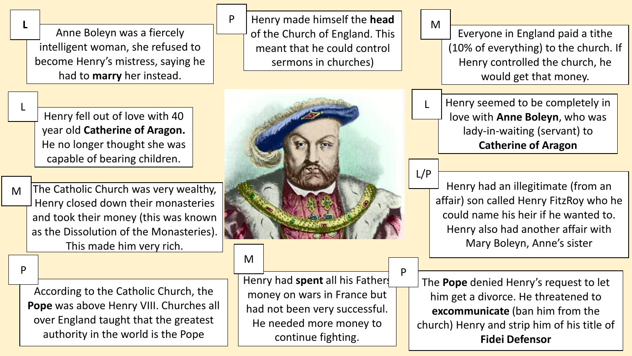Anne Boleyn was a fiercely intelligent woman, she refused to become Henry's mistress, saying he had to **marry** her instead.

**L**

L

M

P

Henry fell out of love with 40 year old **Catherine of Aragon.**  He no longer thought she was capable of bearing children.

The Catholic Church was very wealthy, Henry closed down their monasteries and took their money (this was known as the Dissolution of the Monasteries). This made him very rich.

According to the Catholic Church, the **Pope** was above Henry VIII. Churches all over England taught that the greatest authority in the world is the Pope

Henry made himself the **head** of the Church of England. This meant that he could control sermons in churches)



#### M

P

Henry had **spent** all his Fathers money on wars in France but had not been very successful. He needed more money to continue fighting.

M

P

L/P

Everyone in England paid a tithe (10% of everything) to the church. If Henry controlled the church, he would get that money.

Henry seemed to be completely in love with **Anne Boleyn**, who was lady-in-waiting (servant) to **Catherine of Aragon** L

Henry had an illegitimate (from an affair) son called Henry FitzRoy who he could name his heir if he wanted to. Henry also had another affair with Mary Boleyn, Anne's sister

The **Pope** denied Henry's request to let him get a divorce. He threatened to **excommunicate** (ban him from the church) Henry and strip him of his title of **Fidei Defensor**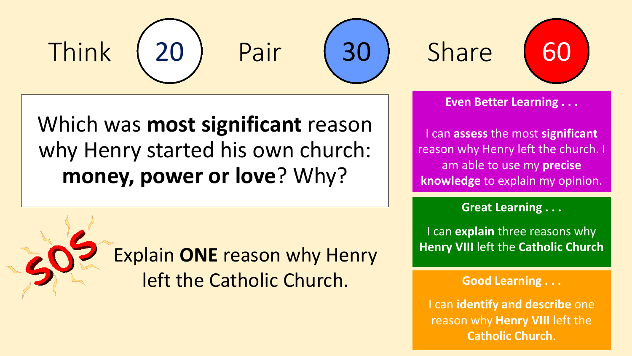





Share



**Even Better Learning . . .**

I can **assess** the most **significant** reason why Henry left the church. I am able to use my **precise knowledge** to explain my opinion.

**Great Learning . . .**

I can **explain** three reasons why **Henry VIII** left the **Catholic Church**

**Good Learning . . .**

I can **identify and describe** one reason why **Henry VIII** left the **Catholic Church**.

Which was **most significant** reason why Henry started his own church: **money, power or love**? Why?

> Explain **ONE** reason why Henry left the Catholic Church.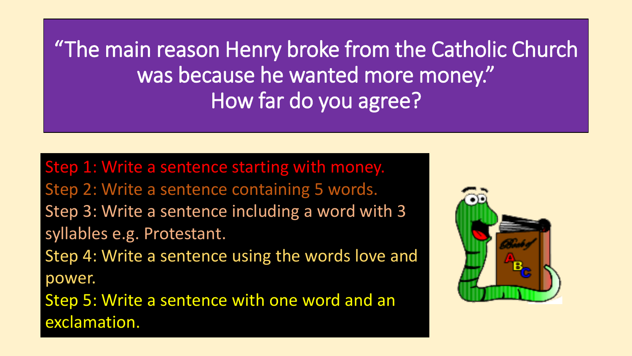"The main reason Henry broke from the Catholic Church was because he wanted more money." How far do you agree?

Step 1: Write a sentence starting with money. Step 2: Write a sentence containing 5 words. Step 3: Write a sentence including a word with 3 syllables e.g. Protestant. Step 4: Write a sentence using the words love and power. Step 5: Write a sentence with one word and an exclamation.

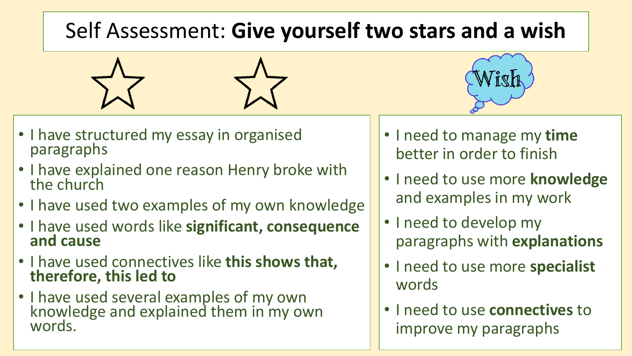### Self Assessment: **Give yourself two stars and a wish**





- I have structured my essay in organised paragraphs
- I have explained one reason Henry broke with the church
- I have used two examples of my own knowledge
- I have used words like **significant, consequence and cause**
- I have used connectives like **this shows that, therefore, this led to**
- I have used several examples of my own knowledge and explained them in my own words.
- I need to manage my **time** better in order to finish
- I need to use more **knowledge** and examples in my work
- I need to develop my paragraphs with **explanations**
- I need to use more **specialist** words
- I need to use **connectives** to improve my paragraphs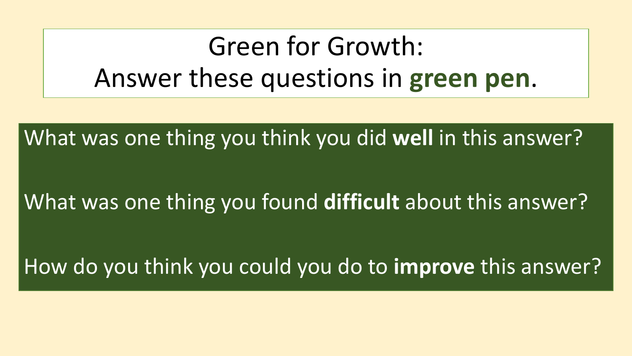# Green for Growth: Answer these questions in **green pen**.

What was one thing you think you did **well** in this answer?

What was one thing you found **difficult** about this answer?

How do you think you could you do to **improve** this answer?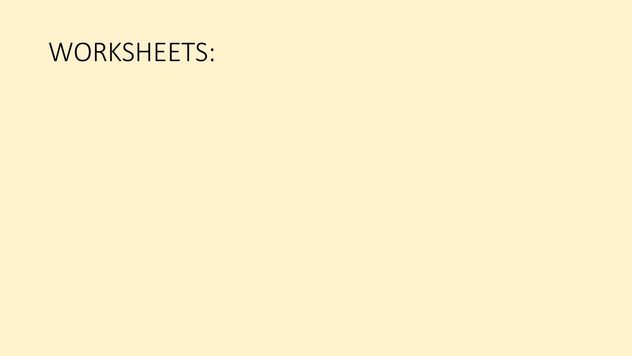## WORKSHEETS: